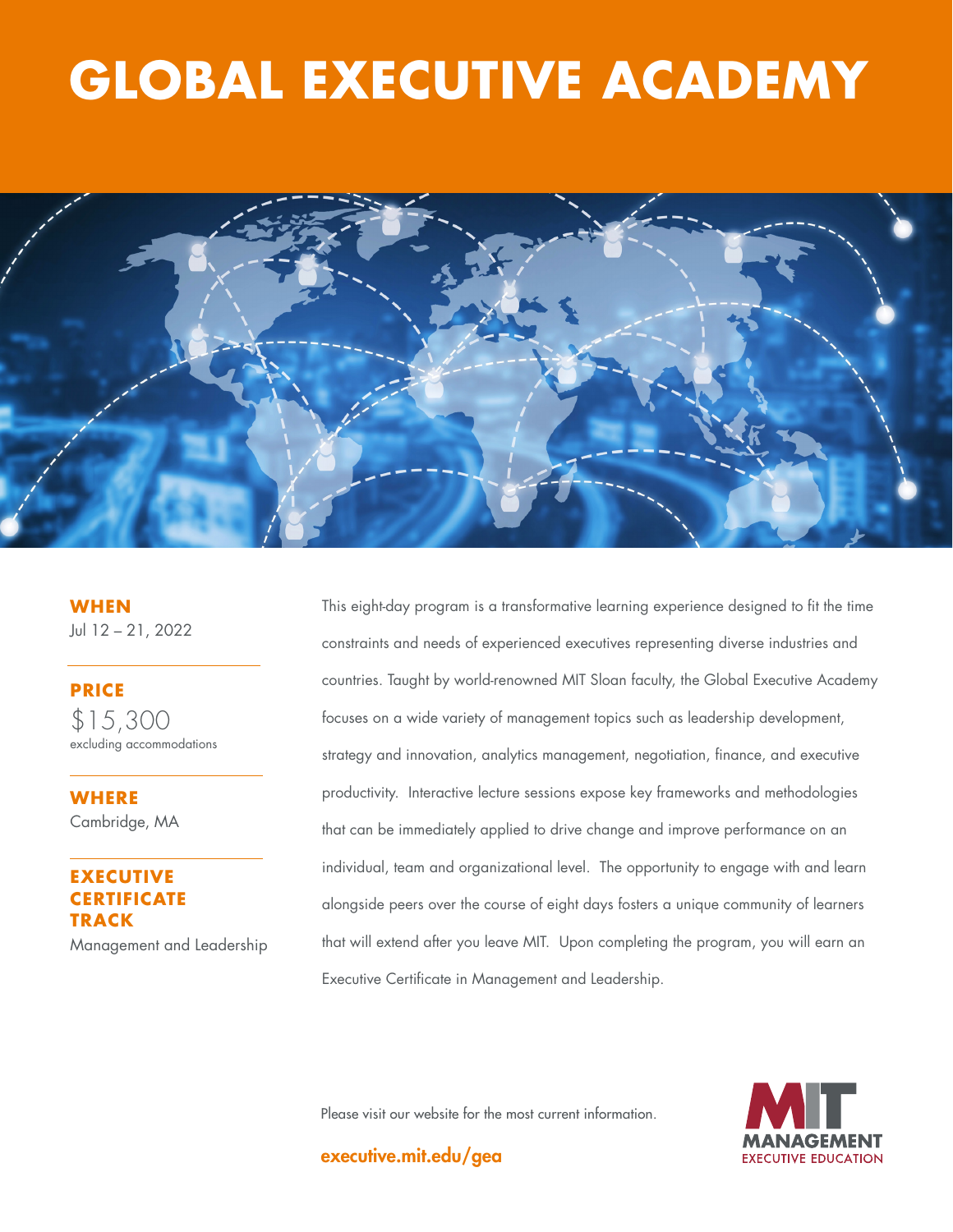# **THE GOOD JOBS GLOBAL EXECUTIVE ACADEMY**



**WHEN** Jul 12 – 21, 2022

**PRICE** \$15,300 excluding accommodations

**WHERE**  Cambridge, MA

# **EXECUTIVE RTIFICATE TRACK**

Management and Leadership

This eight-day program is a transformative learning experience designed to fit the time constraints and needs of experienced executives representing diverse industries and countries. Taught by world-renowned MIT Sloan faculty, the Global Executive Academy focuses on a wide variety of management topics such as leadership development, strategy and innovation, analytics management, negotiation, finance, and executive productivity. Interactive lecture sessions expose key frameworks and methodologies that can be immediately applied to drive change and improve performance on an individual, team and organizational level. The opportunity to engage with and learn alongside peers over the course of eight days fosters a unique community of learners that will extend after you leave MIT. Upon completing the program, you will earn an Executive Certificate in Management and Leadership.

Please visit our website for the most current information.

executive.mit.edu/gea